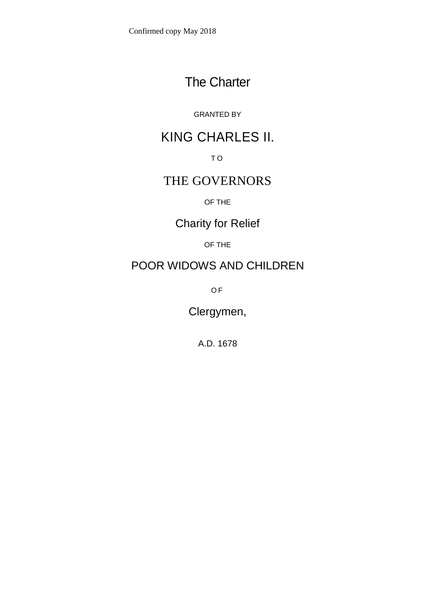# The Charter

### GRANTED BY

# KING CHARLES II.

T O

### THE GOVERNORS

OF THE

Charity for Relief

OF THE

## POOR WIDOWS AND CHILDREN

O F

Clergymen,

A.D. 1678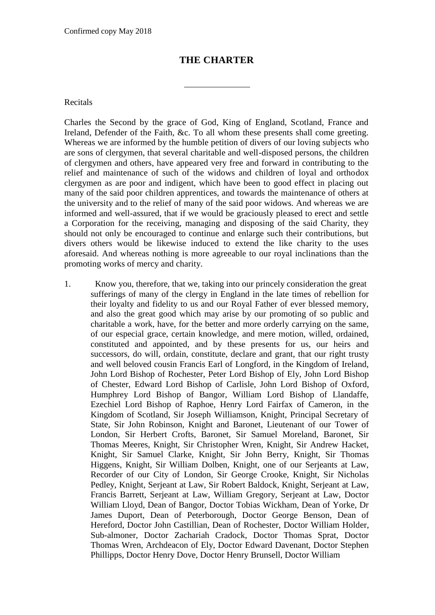#### **THE CHARTER**

Recitals

Charles the Second by the grace of God, King of England, Scotland, France and Ireland, Defender of the Faith, &c. To all whom these presents shall come greeting. Whereas we are informed by the humble petition of divers of our loving subjects who are sons of clergymen, that several charitable and well-disposed persons, the children of clergymen and others, have appeared very free and forward in contributing to the relief and maintenance of such of the widows and children of loyal and orthodox clergymen as are poor and indigent, which have been to good effect in placing out many of the said poor children apprentices, and towards the maintenance of others at the university and to the relief of many of the said poor widows. And whereas we are informed and well-assured, that if we would be graciously pleased to erect and settle a Corporation for the receiving, managing and disposing of the said Charity, they should not only be encouraged to continue and enlarge such their contributions, but divers others would be likewise induced to extend the like charity to the uses aforesaid. And whereas nothing is more agreeable to our royal inclinations than the promoting works of mercy and charity.

1. Know you, therefore, that we, taking into our princely consideration the great sufferings of many of the clergy in England in the late times of rebellion for their loyalty and fidelity to us and our Royal Father of ever blessed memory, and also the great good which may arise by our promoting of so public and charitable a work, have, for the better and more orderly carrying on the same, of our especial grace, certain knowledge, and mere motion, willed, ordained, constituted and appointed, and by these presents for us, our heirs and successors, do will, ordain, constitute, declare and grant, that our right trusty and well beloved cousin Francis Earl of Longford, in the Kingdom of Ireland, John Lord Bishop of Rochester, Peter Lord Bishop of Ely, John Lord Bishop of Chester, Edward Lord Bishop of Carlisle, John Lord Bishop of Oxford, Humphrey Lord Bishop of Bangor, William Lord Bishop of Llandaffe, Ezechiel Lord Bishop of Raphoe, Henry Lord Fairfax of Cameron, in the Kingdom of Scotland, Sir Joseph Williamson, Knight, Principal Secretary of State, Sir John Robinson, Knight and Baronet, Lieutenant of our Tower of London, Sir Herbert Crofts, Baronet, Sir Samuel Moreland, Baronet, Sir Thomas Meeres, Knight, Sir Christopher Wren, Knight, Sir Andrew Hacket, Knight, Sir Samuel Clarke, Knight, Sir John Berry, Knight, Sir Thomas Higgens, Knight, Sir William Dolben, Knight, one of our Serjeants at Law, Recorder of our City of London, Sir George Crooke, Knight, Sir Nicholas Pedley, Knight, Serjeant at Law, Sir Robert Baldock, Knight, Serjeant at Law, Francis Barrett, Serjeant at Law, William Gregory, Serjeant at Law, Doctor William Lloyd, Dean of Bangor, Doctor Tobias Wickham, Dean of Yorke, Dr James Duport, Dean of Peterborough, Doctor George Benson, Dean of Hereford, Doctor John Castillian, Dean of Rochester, Doctor William Holder, Sub-almoner, Doctor Zachariah Cradock, Doctor Thomas Sprat, Doctor Thomas Wren, Archdeacon of Ely, Doctor Edward Davenant, Doctor Stephen Phillipps, Doctor Henry Dove, Doctor Henry Brunsell, Doctor William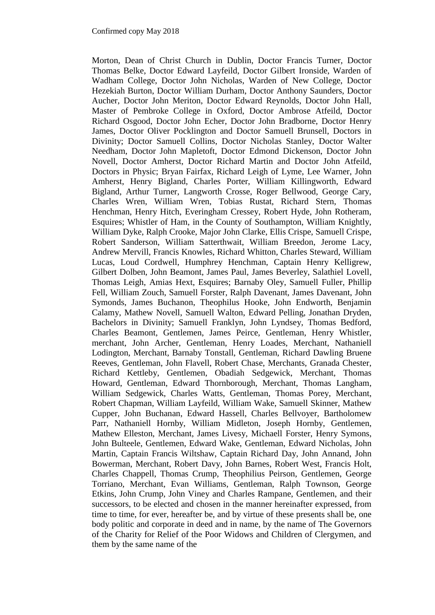Morton, Dean of Christ Church in Dublin, Doctor Francis Turner, Doctor Thomas Belke, Doctor Edward Layfeild, Doctor Gilbert Ironside, Warden of Wadham College, Doctor John Nicholas, Warden of New College, Doctor Hezekiah Burton, Doctor William Durham, Doctor Anthony Saunders, Doctor Aucher, Doctor John Meriton, Doctor Edward Reynolds, Doctor John Hall, Master of Pembroke College in Oxford, Doctor Ambrose Atfeild, Doctor Richard Osgood, Doctor John Echer, Doctor John Bradborne, Doctor Henry James, Doctor Oliver Pocklington and Doctor Samuell Brunsell, Doctors in Divinity; Doctor Samuell Collins, Doctor Nicholas Stanley, Doctor Walter Needham, Doctor John Mapletoft, Doctor Edmond Dickenson, Doctor John Novell, Doctor Amherst, Doctor Richard Martin and Doctor John Atfeild, Doctors in Physic; Bryan Fairfax, Richard Leigh of Lyme, Lee Warner, John Amherst, Henry Bigland, Charles Porter, William Killingworth, Edward Bigland, Arthur Turner, Langworth Crosse, Roger Bellwood, George Cary, Charles Wren, William Wren, Tobias Rustat, Richard Stern, Thomas Henchman, Henry Hitch, Everingham Cressey, Robert Hyde, John Rotheram, Esquires; Whistler of Ham, in the County of Southampton, William Knightly, William Dyke, Ralph Crooke, Major John Clarke, Ellis Crispe, Samuell Crispe, Robert Sanderson, William Satterthwait, William Breedon, Jerome Lacy, Andrew Mervill, Francis Knowles, Richard Whitton, Charles Steward, William Lucas, Loud Cordwell, Humphrey Henchman, Captain Henry Kelligrew, Gilbert Dolben, John Beamont, James Paul, James Beverley, Salathiel Lovell, Thomas Leigh, Amias Hext, Esquires; Barnaby Oley, Samuell Fuller, Phillip Fell, William Zouch, Samuell Forster, Ralph Davenant, James Davenant, John Symonds, James Buchanon, Theophilus Hooke, John Endworth, Benjamin Calamy, Mathew Novell, Samuell Walton, Edward Pelling, Jonathan Dryden, Bachelors in Divinity; Samuell Franklyn, John Lyndsey, Thomas Bedford, Charles Beamont, Gentlemen, James Peirce, Gentleman, Henry Whistler, merchant, John Archer, Gentleman, Henry Loades, Merchant, Nathaniell Lodington, Merchant, Barnaby Tonstall, Gentleman, Richard Dawling Bruene Reeves, Gentleman, John Flavell, Robert Chase, Merchants, Granada Chester, Richard Kettleby, Gentlemen, Obadiah Sedgewick, Merchant, Thomas Howard, Gentleman, Edward Thornborough, Merchant, Thomas Langham, William Sedgewick, Charles Watts, Gentleman, Thomas Porey, Merchant, Robert Chapman, William Layfeild, William Wake, Samuell Skinner, Mathew Cupper, John Buchanan, Edward Hassell, Charles Bellvoyer, Bartholomew Parr, Nathaniell Hornby, William Midleton, Joseph Hornby, Gentlemen, Mathew Elleston, Merchant, James Livesy, Michaell Forster, Henry Symons, John Bulteele, Gentlemen, Edward Wake, Gentleman, Edward Nicholas, John Martin, Captain Francis Wiltshaw, Captain Richard Day, John Annand, John Bowerman, Merchant, Robert Davy, John Barnes, Robert West, Francis Holt, Charles Chappell, Thomas Crump, Theophilius Peirson, Gentlemen, George Torriano, Merchant, Evan Williams, Gentleman, Ralph Townson, George Etkins, John Crump, John Viney and Charles Rampane, Gentlemen, and their successors, to be elected and chosen in the manner hereinafter expressed, from time to time, for ever, hereafter be, and by virtue of these presents shall be, one body politic and corporate in deed and in name, by the name of The Governors of the Charity for Relief of the Poor Widows and Children of Clergymen, and them by the same name of the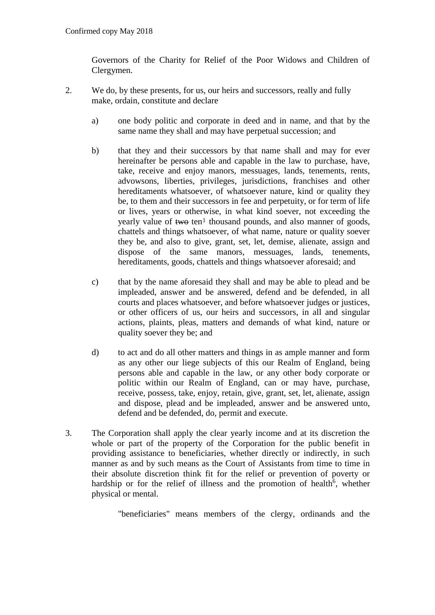Governors of the Charity for Relief of the Poor Widows and Children of Clergymen.

- 2. We do, by these presents, for us, our heirs and successors, really and fully make, ordain, constitute and declare
	- a) one body politic and corporate in deed and in name, and that by the same name they shall and may have perpetual succession; and
	- b) that they and their successors by that name shall and may for ever hereinafter be persons able and capable in the law to purchase, have, take, receive and enjoy manors, messuages, lands, tenements, rents, advowsons, liberties, privileges, jurisdictions, franchises and other hereditaments whatsoever, of whatsoever nature, kind or quality they be, to them and their successors in fee and perpetuity, or for term of life or lives, years or otherwise, in what kind soever, not exceeding the yearly value of two ten<sup>1</sup> thousand pounds, and also manner of goods, chattels and things whatsoever, of what name, nature or quality soever they be, and also to give, grant, set, let, demise, alienate, assign and dispose of the same manors, messuages, lands, tenements, hereditaments, goods, chattels and things whatsoever aforesaid; and
	- c) that by the name aforesaid they shall and may be able to plead and be impleaded, answer and be answered, defend and be defended, in all courts and places whatsoever, and before whatsoever judges or justices, or other officers of us, our heirs and successors, in all and singular actions, plaints, pleas, matters and demands of what kind, nature or quality soever they be; and
	- d) to act and do all other matters and things in as ample manner and form as any other our liege subjects of this our Realm of England, being persons able and capable in the law, or any other body corporate or politic within our Realm of England, can or may have, purchase, receive, possess, take, enjoy, retain, give, grant, set, let, alienate, assign and dispose, plead and be impleaded, answer and be answered unto, defend and be defended, do, permit and execute.
- 3. The Corporation shall apply the clear yearly income and at its discretion the whole or part of the property of the Corporation for the public benefit in providing assistance to beneficiaries, whether directly or indirectly, in such manner as and by such means as the Court of Assistants from time to time in their absolute discretion think fit for the relief or prevention of poverty or hardship or for the relief of illness and the promotion of health<sup>6</sup>, whether physical or mental.

"beneficiaries" means members of the clergy, ordinands and the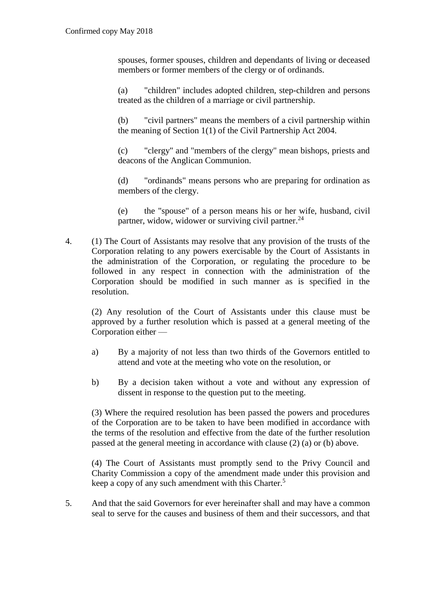spouses, former spouses, children and dependants of living or deceased members or former members of the clergy or of ordinands.

(a) "children" includes adopted children, step-children and persons treated as the children of a marriage or civil partnership.

(b) "civil partners" means the members of a civil partnership within the meaning of Section 1(1) of the Civil Partnership Act 2004.

(c) "clergy" and "members of the clergy" mean bishops, priests and deacons of the Anglican Communion.

(d) "ordinands" means persons who are preparing for ordination as members of the clergy.

(e) the "spouse" of a person means his or her wife, husband, civil partner, widow, widower or surviving civil partner.<sup>24</sup>

4. (1) The Court of Assistants may resolve that any provision of the trusts of the Corporation relating to any powers exercisable by the Court of Assistants in the administration of the Corporation, or regulating the procedure to be followed in any respect in connection with the administration of the Corporation should be modified in such manner as is specified in the resolution.

(2) Any resolution of the Court of Assistants under this clause must be approved by a further resolution which is passed at a general meeting of the Corporation either —

- a) By a majority of not less than two thirds of the Governors entitled to attend and vote at the meeting who vote on the resolution, or
- b) By a decision taken without a vote and without any expression of dissent in response to the question put to the meeting.

(3) Where the required resolution has been passed the powers and procedures of the Corporation are to be taken to have been modified in accordance with the terms of the resolution and effective from the date of the further resolution passed at the general meeting in accordance with clause (2) (a) or (b) above.

(4) The Court of Assistants must promptly send to the Privy Council and Charity Commission a copy of the amendment made under this provision and keep a copy of any such amendment with this Charter.<sup>5</sup>

5. And that the said Governors for ever hereinafter shall and may have a common seal to serve for the causes and business of them and their successors, and that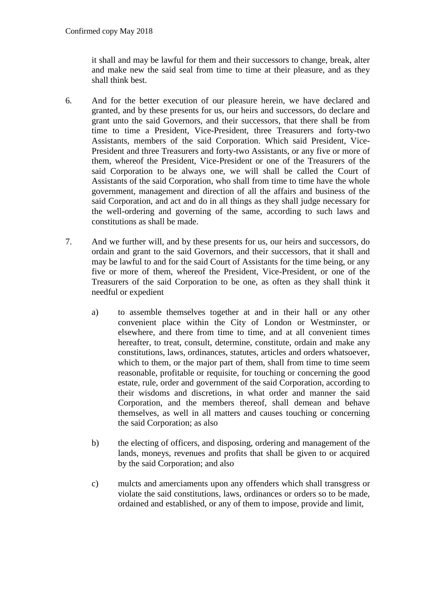it shall and may be lawful for them and their successors to change, break, alter and make new the said seal from time to time at their pleasure, and as they shall think best.

- 6. And for the better execution of our pleasure herein, we have declared and granted, and by these presents for us, our heirs and successors, do declare and grant unto the said Governors, and their successors, that there shall be from time to time a President, Vice-President, three Treasurers and forty-two Assistants, members of the said Corporation. Which said President, Vice-President and three Treasurers and forty-two Assistants, or any five or more of them, whereof the President, Vice-President or one of the Treasurers of the said Corporation to be always one, we will shall be called the Court of Assistants of the said Corporation, who shall from time to time have the whole government, management and direction of all the affairs and business of the said Corporation, and act and do in all things as they shall judge necessary for the well-ordering and governing of the same, according to such laws and constitutions as shall be made.
- 7. And we further will, and by these presents for us, our heirs and successors, do ordain and grant to the said Governors, and their successors, that it shall and may be lawful to and for the said Court of Assistants for the time being, or any five or more of them, whereof the President, Vice-President, or one of the Treasurers of the said Corporation to be one, as often as they shall think it needful or expedient
	- a) to assemble themselves together at and in their hall or any other convenient place within the City of London or Westminster, or elsewhere, and there from time to time, and at all convenient times hereafter, to treat, consult, determine, constitute, ordain and make any constitutions, laws, ordinances, statutes, articles and orders whatsoever, which to them, or the major part of them, shall from time to time seem reasonable, profitable or requisite, for touching or concerning the good estate, rule, order and government of the said Corporation, according to their wisdoms and discretions, in what order and manner the said Corporation, and the members thereof, shall demean and behave themselves, as well in all matters and causes touching or concerning the said Corporation; as also
	- b) the electing of officers, and disposing, ordering and management of the lands, moneys, revenues and profits that shall be given to or acquired by the said Corporation; and also
	- c) mulcts and amerciaments upon any offenders which shall transgress or violate the said constitutions, laws, ordinances or orders so to be made, ordained and established, or any of them to impose, provide and limit,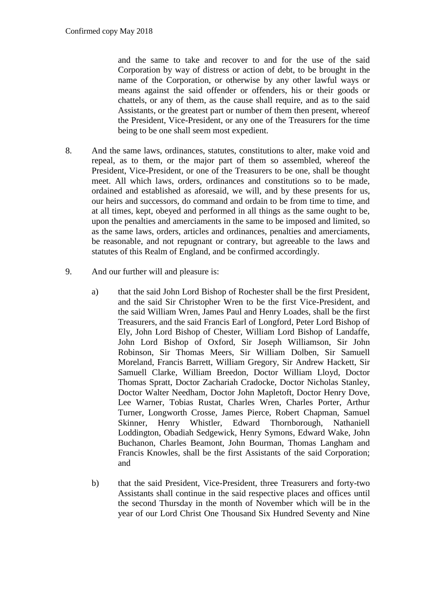and the same to take and recover to and for the use of the said Corporation by way of distress or action of debt, to be brought in the name of the Corporation, or otherwise by any other lawful ways or means against the said offender or offenders, his or their goods or chattels, or any of them, as the cause shall require, and as to the said Assistants, or the greatest part or number of them then present, whereof the President, Vice-President, or any one of the Treasurers for the time being to be one shall seem most expedient.

- 8. And the same laws, ordinances, statutes, constitutions to alter, make void and repeal, as to them, or the major part of them so assembled, whereof the President, Vice-President, or one of the Treasurers to be one, shall be thought meet. All which laws, orders, ordinances and constitutions so to be made, ordained and established as aforesaid, we will, and by these presents for us, our heirs and successors, do command and ordain to be from time to time, and at all times, kept, obeyed and performed in all things as the same ought to be, upon the penalties and amerciaments in the same to be imposed and limited, so as the same laws, orders, articles and ordinances, penalties and amerciaments, be reasonable, and not repugnant or contrary, but agreeable to the laws and statutes of this Realm of England, and be confirmed accordingly.
- 9. And our further will and pleasure is:
	- a) that the said John Lord Bishop of Rochester shall be the first President, and the said Sir Christopher Wren to be the first Vice-President, and the said William Wren, James Paul and Henry Loades, shall be the first Treasurers, and the said Francis Earl of Longford, Peter Lord Bishop of Ely, John Lord Bishop of Chester, William Lord Bishop of Landaffe, John Lord Bishop of Oxford, Sir Joseph Williamson, Sir John Robinson, Sir Thomas Meers, Sir William Dolben, Sir Samuell Moreland, Francis Barrett, William Gregory, Sir Andrew Hackett, Sir Samuell Clarke, William Breedon, Doctor William Lloyd, Doctor Thomas Spratt, Doctor Zachariah Cradocke, Doctor Nicholas Stanley, Doctor Walter Needham, Doctor John Mapletoft, Doctor Henry Dove, Lee Warner, Tobias Rustat, Charles Wren, Charles Porter, Arthur Turner, Longworth Crosse, James Pierce, Robert Chapman, Samuel Skinner, Henry Whistler, Edward Thornborough, Nathaniell Loddington, Obadiah Sedgewick, Henry Symons, Edward Wake, John Buchanon, Charles Beamont, John Bourman, Thomas Langham and Francis Knowles, shall be the first Assistants of the said Corporation; and
	- b) that the said President, Vice-President, three Treasurers and forty-two Assistants shall continue in the said respective places and offices until the second Thursday in the month of November which will be in the year of our Lord Christ One Thousand Six Hundred Seventy and Nine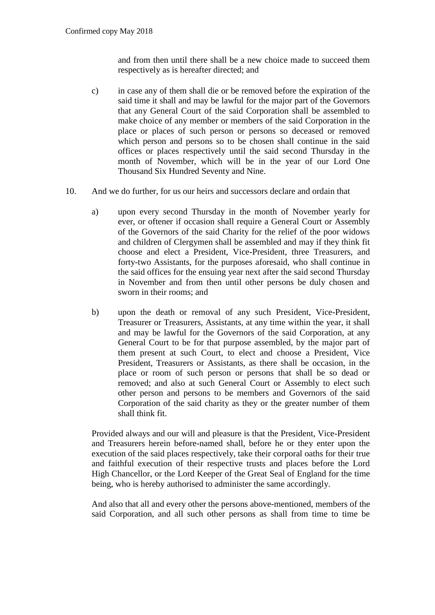and from then until there shall be a new choice made to succeed them respectively as is hereafter directed; and

- c) in case any of them shall die or be removed before the expiration of the said time it shall and may be lawful for the major part of the Governors that any General Court of the said Corporation shall be assembled to make choice of any member or members of the said Corporation in the place or places of such person or persons so deceased or removed which person and persons so to be chosen shall continue in the said offices or places respectively until the said second Thursday in the month of November, which will be in the year of our Lord One Thousand Six Hundred Seventy and Nine.
- 10. And we do further, for us our heirs and successors declare and ordain that
	- a) upon every second Thursday in the month of November yearly for ever, or oftener if occasion shall require a General Court or Assembly of the Governors of the said Charity for the relief of the poor widows and children of Clergymen shall be assembled and may if they think fit choose and elect a President, Vice-President, three Treasurers, and forty-two Assistants, for the purposes aforesaid, who shall continue in the said offices for the ensuing year next after the said second Thursday in November and from then until other persons be duly chosen and sworn in their rooms; and
	- b) upon the death or removal of any such President, Vice-President, Treasurer or Treasurers, Assistants, at any time within the year, it shall and may be lawful for the Governors of the said Corporation, at any General Court to be for that purpose assembled, by the major part of them present at such Court, to elect and choose a President, Vice President, Treasurers or Assistants, as there shall be occasion, in the place or room of such person or persons that shall be so dead or removed; and also at such General Court or Assembly to elect such other person and persons to be members and Governors of the said Corporation of the said charity as they or the greater number of them shall think fit.

Provided always and our will and pleasure is that the President, Vice-President and Treasurers herein before-named shall, before he or they enter upon the execution of the said places respectively, take their corporal oaths for their true and faithful execution of their respective trusts and places before the Lord High Chancellor, or the Lord Keeper of the Great Seal of England for the time being, who is hereby authorised to administer the same accordingly.

And also that all and every other the persons above-mentioned, members of the said Corporation, and all such other persons as shall from time to time be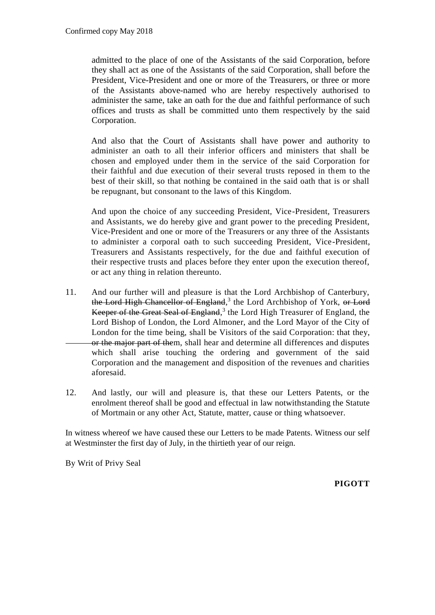admitted to the place of one of the Assistants of the said Corporation, before they shall act as one of the Assistants of the said Corporation, shall before the President, Vice-President and one or more of the Treasurers, or three or more of the Assistants above-named who are hereby respectively authorised to administer the same, take an oath for the due and faithful performance of such offices and trusts as shall be committed unto them respectively by the said Corporation.

And also that the Court of Assistants shall have power and authority to administer an oath to all their inferior officers and ministers that shall be chosen and employed under them in the service of the said Corporation for their faithful and due execution of their several trusts reposed in them to the best of their skill, so that nothing be contained in the said oath that is or shall be repugnant, but consonant to the laws of this Kingdom.

And upon the choice of any succeeding President, Vice-President, Treasurers and Assistants, we do hereby give and grant power to the preceding President, Vice-President and one or more of the Treasurers or any three of the Assistants to administer a corporal oath to such succeeding President, Vice-President, Treasurers and Assistants respectively, for the due and faithful execution of their respective trusts and places before they enter upon the execution thereof, or act any thing in relation thereunto.

- 11. And our further will and pleasure is that the Lord Archbishop of Canterbury, the Lord High Chancellor of England,<sup>3</sup> the Lord Archbishop of York, or Lord Keeper of the Great Seal of England,<sup>3</sup> the Lord High Treasurer of England, the Lord Bishop of London, the Lord Almoner, and the Lord Mayor of the City of London for the time being, shall be Visitors of the said Corporation: that they, or the major part of them, shall hear and determine all differences and disputes which shall arise touching the ordering and government of the said Corporation and the management and disposition of the revenues and charities aforesaid.
- 12. And lastly, our will and pleasure is, that these our Letters Patents, or the enrolment thereof shall be good and effectual in law notwithstanding the Statute of Mortmain or any other Act, Statute, matter, cause or thing whatsoever.

In witness whereof we have caused these our Letters to be made Patents. Witness our self at Westminster the first day of July, in the thirtieth year of our reign.

By Writ of Privy Seal

**PIGOTT**